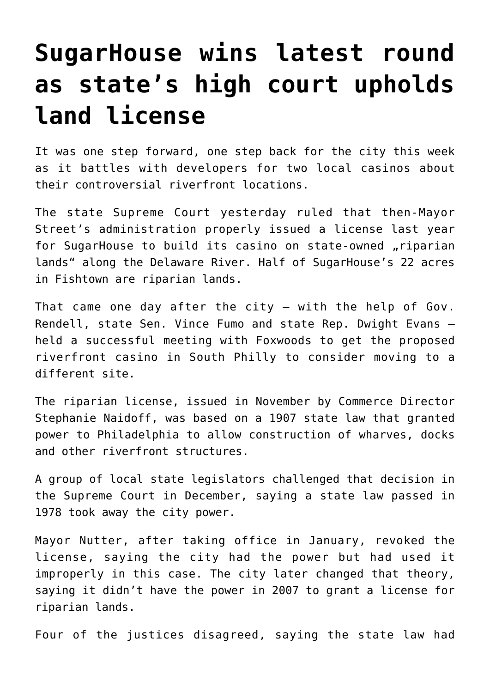## **[SugarHouse wins latest round](https://www.isa-guide.de/english-news/articles/22421.html) [as state's high court upholds](https://www.isa-guide.de/english-news/articles/22421.html) [land license](https://www.isa-guide.de/english-news/articles/22421.html)**

It was one step forward, one step back for the city this week as it battles with developers for two local casinos about their controversial riverfront locations.

The state Supreme Court yesterday ruled that then-Mayor Street's administration properly issued a license last year for SugarHouse to build its casino on state-owned "riparian lands" along the Delaware River. Half of SugarHouse's 22 acres in Fishtown are riparian lands.

That came one day after the city  $-$  with the help of Gov. Rendell, state Sen. Vince Fumo and state Rep. Dwight Evans – held a successful meeting with Foxwoods to get the proposed riverfront casino in South Philly to consider moving to a different site.

The riparian license, issued in November by Commerce Director Stephanie Naidoff, was based on a 1907 state law that granted power to Philadelphia to allow construction of wharves, docks and other riverfront structures.

A group of local state legislators challenged that decision in the Supreme Court in December, saying a state law passed in 1978 took away the city power.

Mayor Nutter, after taking office in January, revoked the license, saying the city had the power but had used it improperly in this case. The city later changed that theory, saying it didn't have the power in 2007 to grant a license for riparian lands.

Four of the justices disagreed, saying the state law had